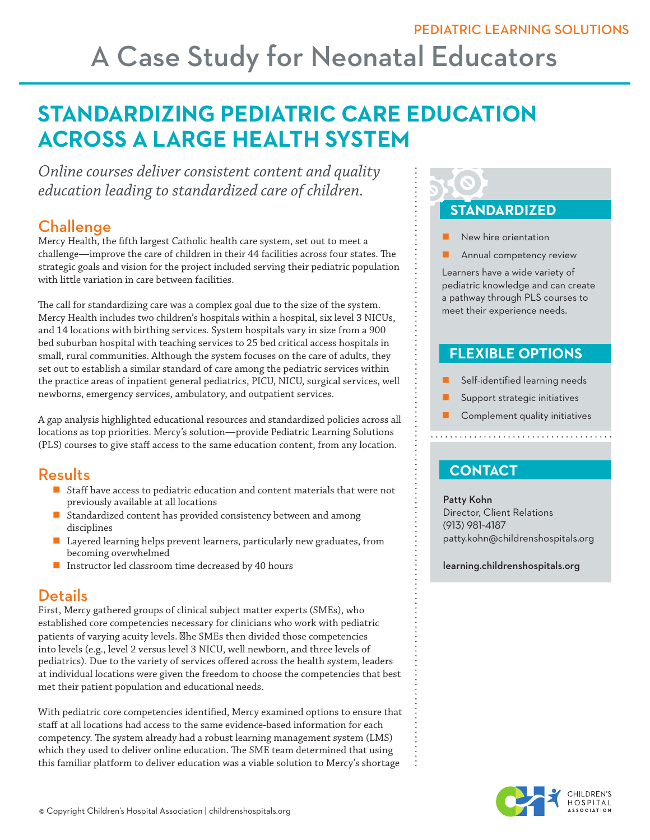## A Case Study for Neonatal Educators

### **STANDARDIZING PEDIATRIC CARE EDUCATION ACROSS A LARGE HEALTH SYSTEM**

*Online courses deliver consistent content and quality education leading to standardized care of children.* 

### Challenge

Mercy Health, the fifth largest Catholic health care system, set out to meet a challenge—improve the care of children in their 44 facilities across four states. The strategic goals and vision for the project included serving their pediatric population with little variation in care between facilities.

The call for standardizing care was a complex goal due to the size of the system. Mercy Health includes two children's hospitals within a hospital, six level 3 NICUs, and 14 locations with birthing services. System hospitals vary in size from a 900 bed suburban hospital with teaching services to 25 bed critical access hospitals in small, rural communities. Although the system focuses on the care of adults, they set out to establish a similar standard of care among the pediatric services within the practice areas of inpatient general pediatrics, PICU, NICU, surgical services, well newborns, emergency services, ambulatory, and outpatient services.

A gap analysis highlighted educational resources and standardized policies across all locations as top priorities. Mercy's solution—provide Pediatric Learning Solutions (PLS) courses to give staff access to the same education content, from any location.

### Results

- Staff have access to pediatric education and content materials that were not previously available at all locations
- Standardized content has provided consistency between and among disciplines
- Layered learning helps prevent learners, particularly new graduates, from becoming overwhelmed
- **Instructor led classroom time decreased by 40 hours**

### **Details**

First, Mercy gathered groups of clinical subject matter experts (SMEs), who established core competencies necessary for clinicians who work with pediatric patients of varying acuity levels. **Nhe SMEs then divided those competencies** into levels (e.g., level 2 versus level 3 NICU, well newborn, and three levels of pediatrics). Due to the variety of services offered across the health system, leaders at individual locations were given the freedom to choose the competencies that best met their patient population and educational needs.

With pediatric core competencies identified, Mercy examined options to ensure that staff at all locations had access to the same evidence-based information for each competency. The system already had a robust learning management system (LMS) which they used to deliver online education. The SME team determined that using this familiar platform to deliver education was a viable solution to Mercy's shortage

# **STANDARDIZED**

- New hire orientation
- Annual competency review

Learners have a wide variety of pediatric knowledge and can create a pathway through PLS courses to meet their experience needs.

### **FLEXIBLE OPTIONS**

- Self-identified learning needs
- Support strategic initiatives
- **Complement quality initiatives**

### **CONTACT**

Patty Kohn Director, Client Relations (913) 981-4187 patty.kohn@childrenshospitals.org

learning.childrenshospitals.org